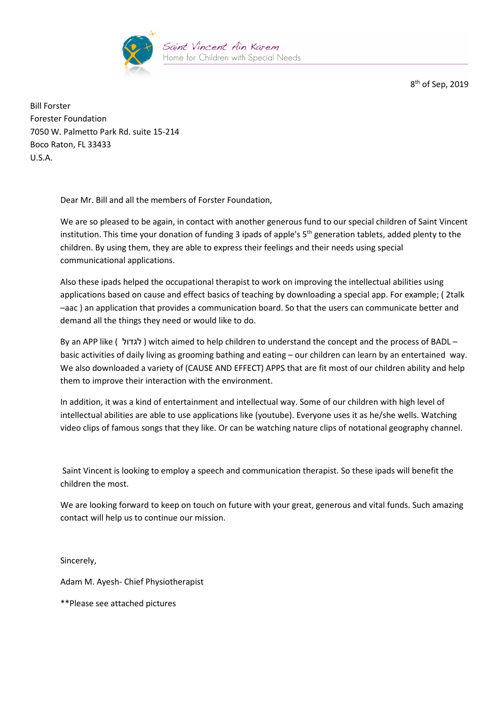

8th of Sep, 2019

Bill Forster Forester Foundation 7050 W. Palmetto Park Rd. suite 15-214 Boco Raton, FL 33433 U.S.A.

Dear Mr. Bill and all the members of Forster Foundation,

We are so pleased to be again, in contact with another generous fund to our special children of Saint Vincent institution. This time your donation of funding 3 ipads of apple's  $5<sup>th</sup>$  generation tablets, added plenty to the children. By using them, they are able to express their feelings and their needs using special communicational applications.

Also these ipads helped the occupational therapist to work on improving the intellectual abilities using applications based on cause and effect basics of teaching by downloading a special app. For example; ( 2talk –aac ) an application that provides a communication board. So that the users can communicate better and demand all the things they need or would like to do.

By an APP like ( לגדול) witch aimed to help children to understand the concept and the process of BADL – basic activities of daily living as grooming bathing and eating – our children can learn by an entertained way. We also downloaded a variety of (CAUSE AND EFFECT) APPS that are fit most of our children ability and help them to improve their interaction with the environment.

In addition, it was a kind of entertainment and intellectual way. Some of our children with high level of intellectual abilities are able to use applications like (youtube). Everyone uses it as he/she wells. Watching video clips of famous songs that they like. Or can be watching nature clips of notational geography channel.

Saint Vincent is looking to employ a speech and communication therapist. So these ipads will benefit the children the most.

We are looking forward to keep on touch on future with your great, generous and vital funds. Such amazing contact will help us to continue our mission.

Sincerely,

Adam M. Ayesh- Chief Physiotherapist

\*\*Please see attached pictures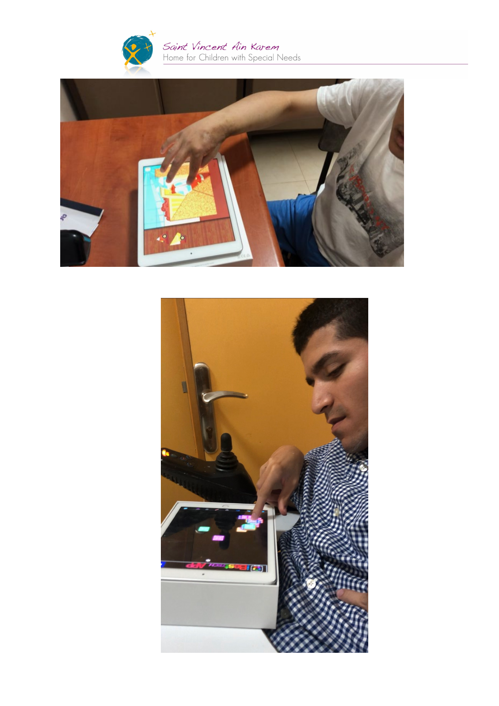

Saint Vincent Ain Karem<br>Home for Children with Special Needs